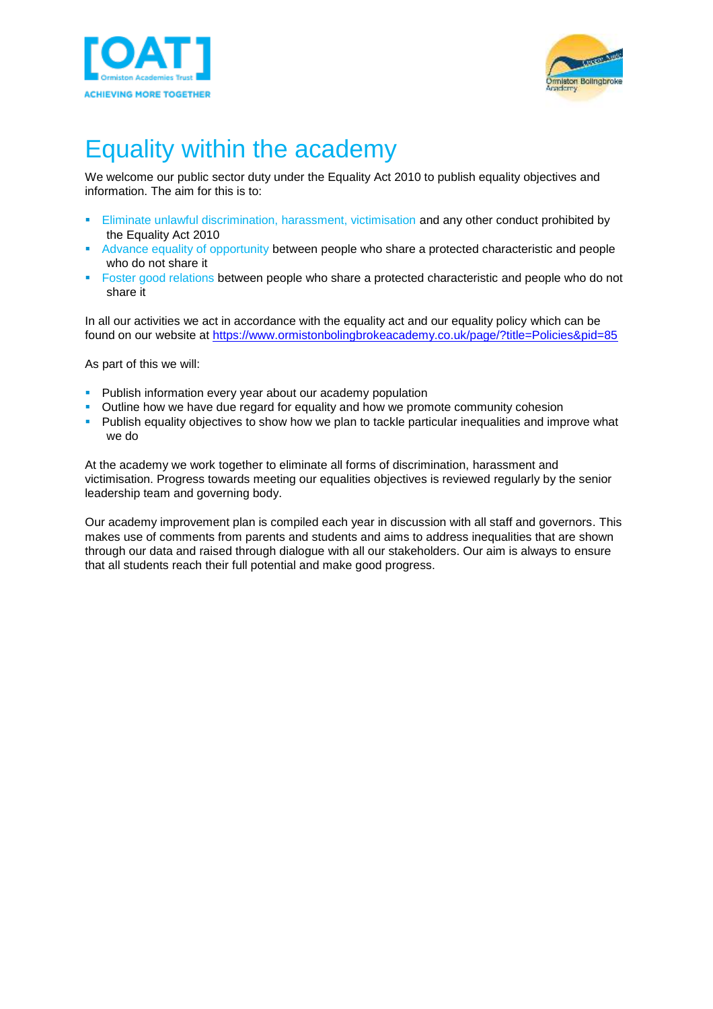



# Equality within the academy

We welcome our public sector duty under the Equality Act 2010 to publish equality objectives and information. The aim for this is to:

- **Eliminate unlawful discrimination, harassment, victimisation and any other conduct prohibited by** the Equality Act 2010
- Advance equality of opportunity between people who share a protected characteristic and people who do not share it
- **•** Foster good relations between people who share a protected characteristic and people who do not share it

In all our activities we act in accordance with the equality act and our equality policy which can be found on our website at <https://www.ormistonbolingbrokeacademy.co.uk/page/?title=Policies&pid=85>

As part of this we will:

- **Publish information every year about our academy population**
- Outline how we have due regard for equality and how we promote community cohesion
- **•** Publish equality objectives to show how we plan to tackle particular inequalities and improve what we do

At the academy we work together to eliminate all forms of discrimination, harassment and victimisation. Progress towards meeting our equalities objectives is reviewed regularly by the senior leadership team and governing body.

Our academy improvement plan is compiled each year in discussion with all staff and governors. This makes use of comments from parents and students and aims to address inequalities that are shown through our data and raised through dialogue with all our stakeholders. Our aim is always to ensure that all students reach their full potential and make good progress.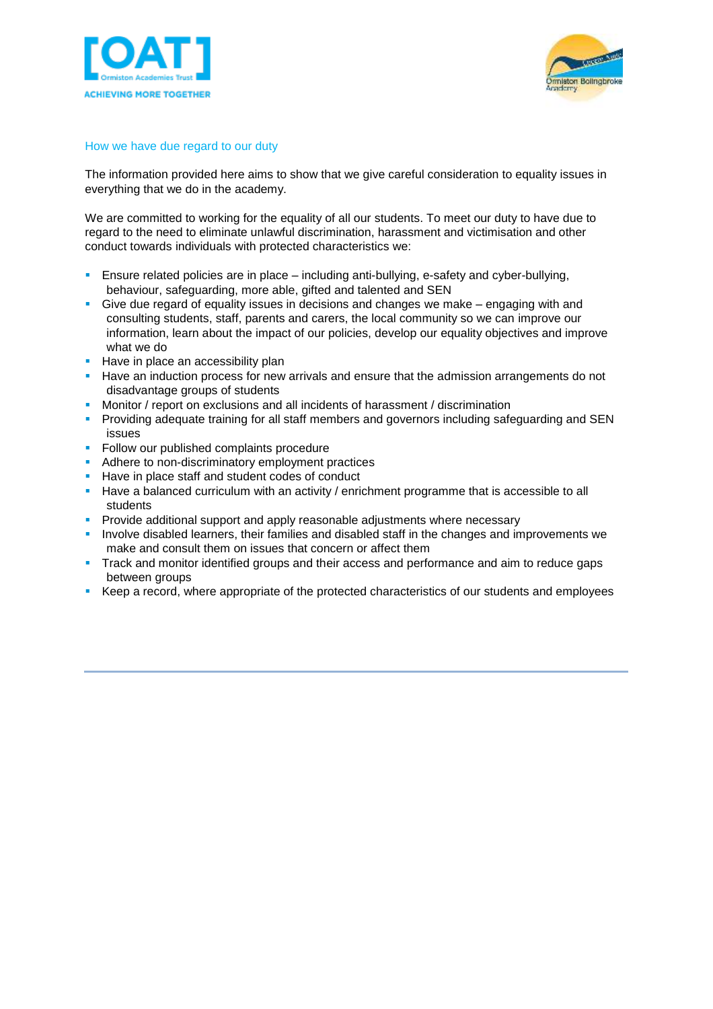



#### How we have due regard to our duty

The information provided here aims to show that we give careful consideration to equality issues in everything that we do in the academy.

We are committed to working for the equality of all our students. To meet our duty to have due to regard to the need to eliminate unlawful discrimination, harassment and victimisation and other conduct towards individuals with protected characteristics we:

- **E** Ensure related policies are in place including anti-bullying, e-safety and cyber-bullying, behaviour, safeguarding, more able, gifted and talented and SEN
- **•** Give due regard of equality issues in decisions and changes we make engaging with and consulting students, staff, parents and carers, the local community so we can improve our information, learn about the impact of our policies, develop our equality objectives and improve what we do
- Have in place an accessibility plan
- **EXECT** Have an induction process for new arrivals and ensure that the admission arrangements do not disadvantage groups of students
- Monitor / report on exclusions and all incidents of harassment / discrimination
- **•** Providing adequate training for all staff members and governors including safeguarding and SEN issues
- **Follow our published complaints procedure**
- **E** Adhere to non-discriminatory employment practices
- Have in place staff and student codes of conduct
- Have a balanced curriculum with an activity / enrichment programme that is accessible to all students
- **Provide additional support and apply reasonable adjustments where necessary**
- **.** Involve disabled learners, their families and disabled staff in the changes and improvements we make and consult them on issues that concern or affect them
- **Track and monitor identified groups and their access and performance and aim to reduce gaps** between groups
- Keep a record, where appropriate of the protected characteristics of our students and employees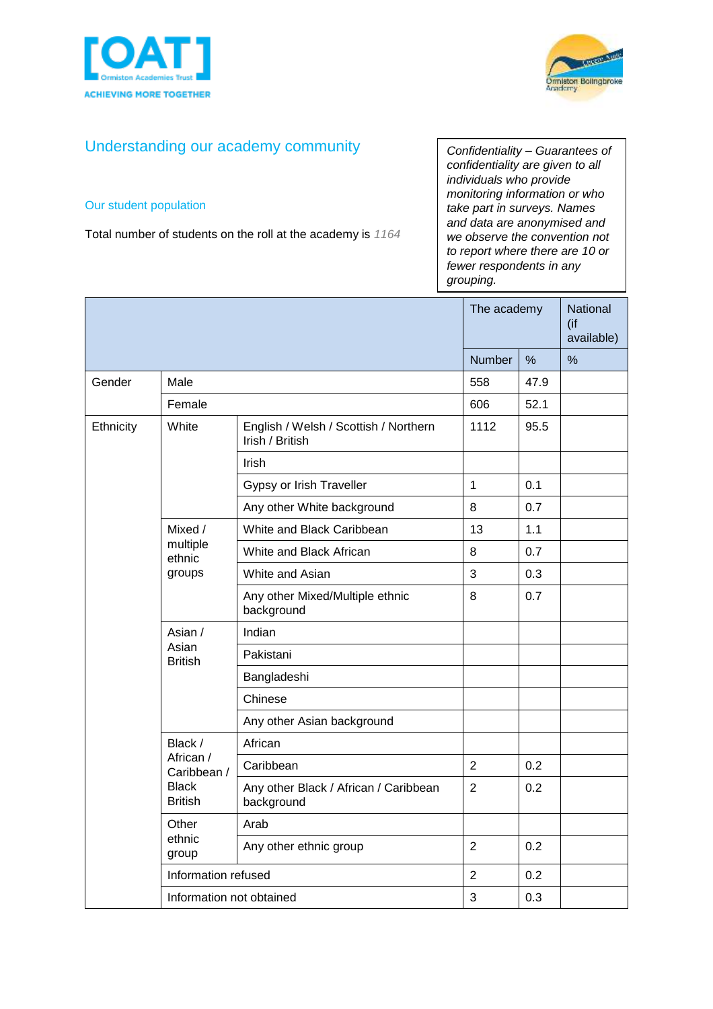



# Understanding our academy community

### Our student population

Total number of students on the roll at the academy is *1164*

*Confidentiality – Guarantees of confidentiality are given to all individuals who provide monitoring information or who take part in surveys. Names and data are anonymised and we observe the convention not to report where there are 10 or fewer respondents in any grouping.*

|           |                                                                       |                                                          | The academy    |      | <b>National</b><br>(if<br>available) |
|-----------|-----------------------------------------------------------------------|----------------------------------------------------------|----------------|------|--------------------------------------|
|           |                                                                       |                                                          | Number         | %    | $\%$                                 |
| Gender    | Male                                                                  |                                                          | 558            | 47.9 |                                      |
|           | Female                                                                |                                                          | 606            | 52.1 |                                      |
| Ethnicity | White                                                                 | English / Welsh / Scottish / Northern<br>Irish / British | 1112           | 95.5 |                                      |
|           |                                                                       | <b>Irish</b>                                             |                |      |                                      |
|           |                                                                       | Gypsy or Irish Traveller                                 | $\mathbf{1}$   | 0.1  |                                      |
|           |                                                                       | Any other White background                               | 8              | 0.7  |                                      |
|           | Mixed /                                                               | White and Black Caribbean                                | 13             | 1.1  |                                      |
|           | multiple<br>ethnic<br>groups                                          | White and Black African                                  | 8              | 0.7  |                                      |
|           |                                                                       | White and Asian                                          | 3              | 0.3  |                                      |
|           |                                                                       | Any other Mixed/Multiple ethnic<br>background            | 8              | 0.7  |                                      |
|           | Asian /<br>Asian<br><b>British</b>                                    | Indian                                                   |                |      |                                      |
|           |                                                                       | Pakistani                                                |                |      |                                      |
|           |                                                                       | Bangladeshi                                              |                |      |                                      |
|           |                                                                       | Chinese                                                  |                |      |                                      |
|           |                                                                       | Any other Asian background                               |                |      |                                      |
|           | Black /<br>African /<br>Caribbean /<br><b>Black</b><br><b>British</b> | African                                                  |                |      |                                      |
|           |                                                                       | Caribbean                                                | $\overline{2}$ | 0.2  |                                      |
|           |                                                                       | Any other Black / African / Caribbean<br>background      | 2              | 0.2  |                                      |
|           | Other<br>ethnic<br>group                                              | Arab                                                     |                |      |                                      |
|           |                                                                       | Any other ethnic group                                   | $\overline{2}$ | 0.2  |                                      |
|           | Information refused                                                   |                                                          | $\overline{2}$ | 0.2  |                                      |
|           | Information not obtained                                              |                                                          | 3              | 0.3  |                                      |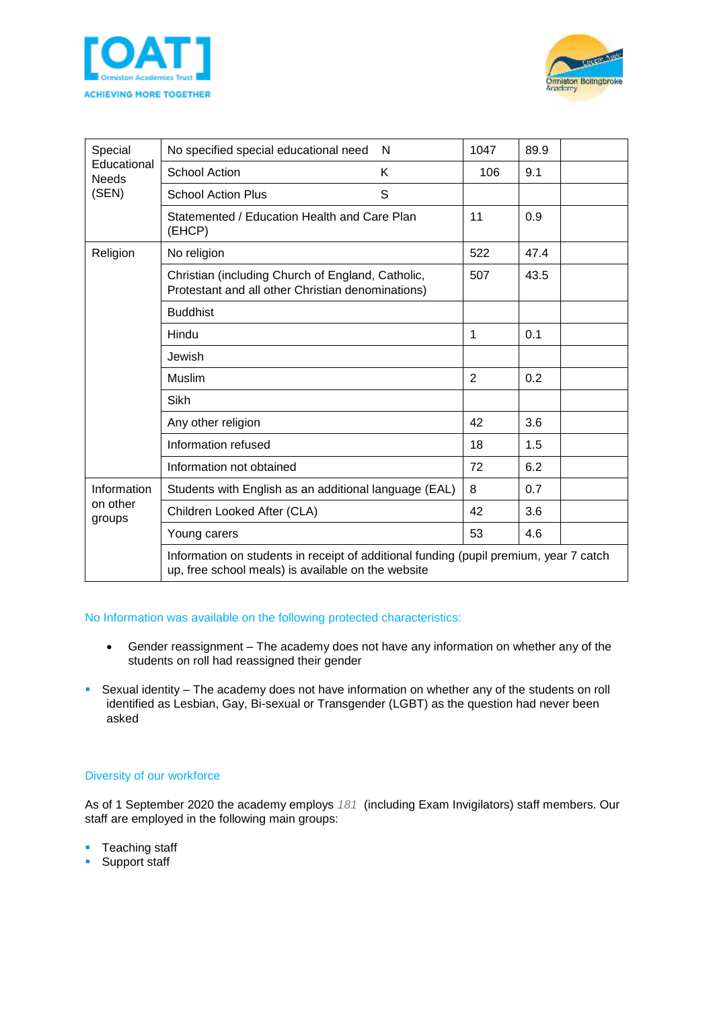



| Special<br>Educational<br><b>Needs</b><br>(SEN) | No specified special educational need<br>N                                                                                                  | 1047           | 89.9 |  |
|-------------------------------------------------|---------------------------------------------------------------------------------------------------------------------------------------------|----------------|------|--|
|                                                 | <b>School Action</b><br>Κ                                                                                                                   | 106            | 9.1  |  |
|                                                 | S<br><b>School Action Plus</b>                                                                                                              |                |      |  |
|                                                 | Statemented / Education Health and Care Plan<br>(EHCP)                                                                                      | 11             | 0.9  |  |
| Religion                                        | No religion                                                                                                                                 | 522            | 47.4 |  |
|                                                 | Christian (including Church of England, Catholic,<br>Protestant and all other Christian denominations)                                      |                | 43.5 |  |
|                                                 | <b>Buddhist</b>                                                                                                                             |                |      |  |
|                                                 | Hindu                                                                                                                                       | 1              | 0.1  |  |
|                                                 | Jewish                                                                                                                                      |                |      |  |
|                                                 | Muslim                                                                                                                                      | $\overline{2}$ | 0.2  |  |
|                                                 | <b>Sikh</b>                                                                                                                                 |                |      |  |
|                                                 | Any other religion                                                                                                                          |                | 3.6  |  |
|                                                 | Information refused                                                                                                                         |                | 1.5  |  |
|                                                 | Information not obtained                                                                                                                    |                | 6.2  |  |
| Information<br>on other<br>groups               | Students with English as an additional language (EAL)                                                                                       |                | 0.7  |  |
|                                                 | Children Looked After (CLA)                                                                                                                 |                | 3.6  |  |
|                                                 | Young carers                                                                                                                                | 53             | 4.6  |  |
|                                                 | Information on students in receipt of additional funding (pupil premium, year 7 catch<br>up, free school meals) is available on the website |                |      |  |

#### No Information was available on the following protected characteristics:

- Gender reassignment The academy does not have any information on whether any of the students on roll had reassigned their gender
- **EXECTS Sexual identity The academy does not have information on whether any of the students on roll** identified as Lesbian, Gay, Bi-sexual or Transgender (LGBT) as the question had never been asked

## Diversity of our workforce

As of 1 September 2020 the academy employs *181* (including Exam Invigilators) staff members. Our staff are employed in the following main groups:

- Teaching staff
- Support staff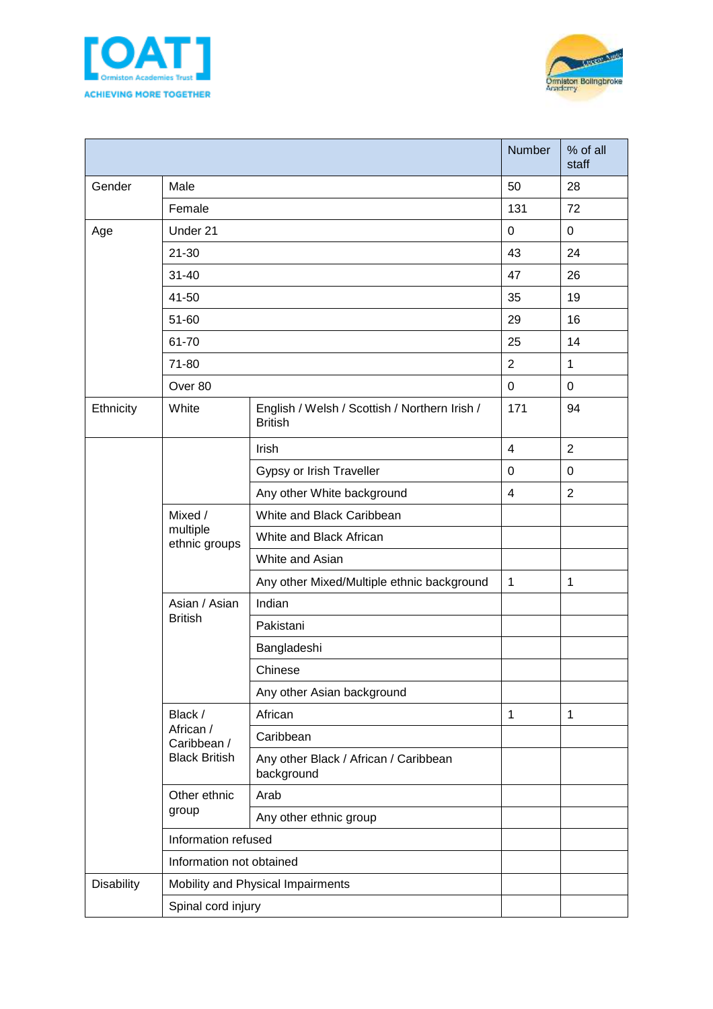



|            |                                                             |                                                                 | Number         | % of all<br>staff |
|------------|-------------------------------------------------------------|-----------------------------------------------------------------|----------------|-------------------|
| Gender     | Male                                                        |                                                                 | 50             | 28                |
|            | Female                                                      |                                                                 | 131            | 72                |
| Age        | Under 21                                                    |                                                                 | 0              | $\mathbf 0$       |
|            | $21 - 30$                                                   |                                                                 | 43             | 24                |
|            | $31 - 40$                                                   |                                                                 | 47             | 26                |
|            | 41-50                                                       | 35                                                              | 19             |                   |
|            | 51-60                                                       | 29                                                              | 16             |                   |
|            | 61-70                                                       |                                                                 | 25             | 14                |
|            | 71-80                                                       |                                                                 | $\overline{2}$ | $\mathbf{1}$      |
|            | Over 80                                                     |                                                                 | $\mathbf 0$    | $\mathbf 0$       |
| Ethnicity  | White                                                       | English / Welsh / Scottish / Northern Irish /<br><b>British</b> | 171            | 94                |
|            |                                                             | Irish                                                           | $\overline{4}$ | $\overline{2}$    |
|            |                                                             | Gypsy or Irish Traveller                                        | $\mathbf 0$    | $\mathbf 0$       |
|            |                                                             | Any other White background                                      | $\overline{4}$ | $\overline{2}$    |
|            | Mixed /<br>multiple<br>ethnic groups                        | White and Black Caribbean                                       |                |                   |
|            |                                                             | White and Black African                                         |                |                   |
|            |                                                             | White and Asian                                                 |                |                   |
|            |                                                             | Any other Mixed/Multiple ethnic background                      | 1              | $\mathbf{1}$      |
|            | Asian / Asian<br><b>British</b>                             | Indian                                                          |                |                   |
|            |                                                             | Pakistani                                                       |                |                   |
|            |                                                             | Bangladeshi                                                     |                |                   |
|            |                                                             | Chinese                                                         |                |                   |
|            |                                                             | Any other Asian background                                      |                |                   |
|            | Black /<br>African /<br>Caribbean /<br><b>Black British</b> | African                                                         | 1              | $\mathbf{1}$      |
|            |                                                             | Caribbean                                                       |                |                   |
|            |                                                             | Any other Black / African / Caribbean<br>background             |                |                   |
|            | Other ethnic<br>group                                       | Arab                                                            |                |                   |
|            |                                                             | Any other ethnic group                                          |                |                   |
|            | Information refused                                         |                                                                 |                |                   |
|            | Information not obtained                                    |                                                                 |                |                   |
| Disability | Mobility and Physical Impairments                           |                                                                 |                |                   |
|            | Spinal cord injury                                          |                                                                 |                |                   |